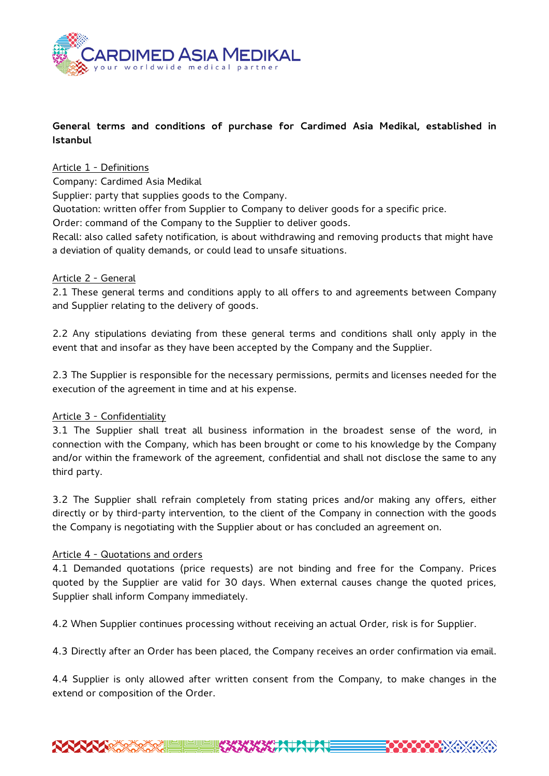

# **General terms and conditions of purchase for Cardimed Asia Medikal, established in Istanbul**

### Article 1 - Definitions

Company: Cardimed Asia Medikal

Supplier: party that supplies goods to the Company.

Quotation: written offer from Supplier to Company to deliver goods for a specific price.

Order: command of the Company to the Supplier to deliver goods.

Recall: also called safety notification, is about withdrawing and removing products that might have a deviation of quality demands, or could lead to unsafe situations.

#### Article 2 - General

2.1 These general terms and conditions apply to all offers to and agreements between Company and Supplier relating to the delivery of goods.

2.2 Any stipulations deviating from these general terms and conditions shall only apply in the event that and insofar as they have been accepted by the Company and the Supplier.

2.3 The Supplier is responsible for the necessary permissions, permits and licenses needed for the execution of the agreement in time and at his expense.

### Article 3 - Confidentiality

3.1 The Supplier shall treat all business information in the broadest sense of the word, in connection with the Company, which has been brought or come to his knowledge by the Company and/or within the framework of the agreement, confidential and shall not disclose the same to any third party.

3.2 The Supplier shall refrain completely from stating prices and/or making any offers, either directly or by third-party intervention, to the client of the Company in connection with the goods the Company is negotiating with the Supplier about or has concluded an agreement on.

### Article 4 - Quotations and orders

4.1 Demanded quotations (price requests) are not binding and free for the Company. Prices quoted by the Supplier are valid for 30 days. When external causes change the quoted prices, Supplier shall inform Company immediately.

4.2 When Supplier continues processing without receiving an actual Order, risk is for Supplier.

4.3 Directly after an Order has been placed, the Company receives an order confirmation via email.

4.4 Supplier is only allowed after written consent from the Company, to make changes in the extend or composition of the Order.

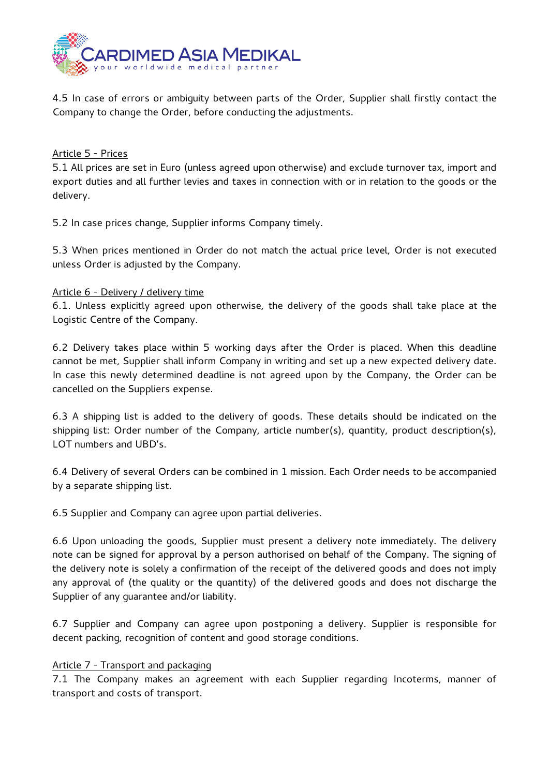

4.5 In case of errors or ambiguity between parts of the Order, Supplier shall firstly contact the Company to change the Order, before conducting the adjustments.

## Article 5 - Prices

5.1 All prices are set in Euro (unless agreed upon otherwise) and exclude turnover tax, import and export duties and all further levies and taxes in connection with or in relation to the goods or the delivery.

5.2 In case prices change, Supplier informs Company timely.

5.3 When prices mentioned in Order do not match the actual price level, Order is not executed unless Order is adjusted by the Company.

### Article 6 - Delivery / delivery time

6.1. Unless explicitly agreed upon otherwise, the delivery of the goods shall take place at the Logistic Centre of the Company.

6.2 Delivery takes place within 5 working days after the Order is placed. When this deadline cannot be met, Supplier shall inform Company in writing and set up a new expected delivery date. In case this newly determined deadline is not agreed upon by the Company, the Order can be cancelled on the Suppliers expense.

6.3 A shipping list is added to the delivery of goods. These details should be indicated on the shipping list: Order number of the Company, article number(s), quantity, product description(s), LOT numbers and UBD's.

6.4 Delivery of several Orders can be combined in 1 mission. Each Order needs to be accompanied by a separate shipping list.

6.5 Supplier and Company can agree upon partial deliveries.

6.6 Upon unloading the goods, Supplier must present a delivery note immediately. The delivery note can be signed for approval by a person authorised on behalf of the Company. The signing of the delivery note is solely a confirmation of the receipt of the delivered goods and does not imply any approval of (the quality or the quantity) of the delivered goods and does not discharge the Supplier of any guarantee and/or liability.

6.7 Supplier and Company can agree upon postponing a delivery. Supplier is responsible for decent packing, recognition of content and good storage conditions.

### Article 7 - Transport and packaging

7.1 The Company makes an agreement with each Supplier regarding Incoterms, manner of transport and costs of transport.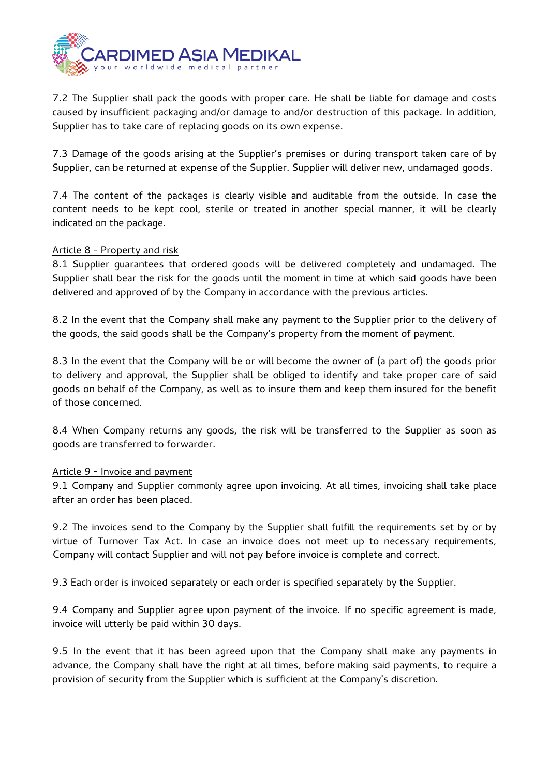

7.2 The Supplier shall pack the goods with proper care. He shall be liable for damage and costs caused by insufficient packaging and/or damage to and/or destruction of this package. In addition, Supplier has to take care of replacing goods on its own expense.

7.3 Damage of the goods arising at the Supplier's premises or during transport taken care of by Supplier, can be returned at expense of the Supplier. Supplier will deliver new, undamaged goods.

7.4 The content of the packages is clearly visible and auditable from the outside. In case the content needs to be kept cool, sterile or treated in another special manner, it will be clearly indicated on the package.

#### Article 8 - Property and risk

8.1 Supplier guarantees that ordered goods will be delivered completely and undamaged. The Supplier shall bear the risk for the goods until the moment in time at which said goods have been delivered and approved of by the Company in accordance with the previous articles.

8.2 In the event that the Company shall make any payment to the Supplier prior to the delivery of the goods, the said goods shall be the Company's property from the moment of payment.

8.3 In the event that the Company will be or will become the owner of (a part of) the goods prior to delivery and approval, the Supplier shall be obliged to identify and take proper care of said goods on behalf of the Company, as well as to insure them and keep them insured for the benefit of those concerned.

8.4 When Company returns any goods, the risk will be transferred to the Supplier as soon as goods are transferred to forwarder.

#### Article 9 - Invoice and payment

9.1 Company and Supplier commonly agree upon invoicing. At all times, invoicing shall take place after an order has been placed.

9.2 The invoices send to the Company by the Supplier shall fulfill the requirements set by or by virtue of Turnover Tax Act. In case an invoice does not meet up to necessary requirements, Company will contact Supplier and will not pay before invoice is complete and correct.

9.3 Each order is invoiced separately or each order is specified separately by the Supplier.

9.4 Company and Supplier agree upon payment of the invoice. If no specific agreement is made, invoice will utterly be paid within 30 days.

9.5 In the event that it has been agreed upon that the Company shall make any payments in advance, the Company shall have the right at all times, before making said payments, to require a provision of security from the Supplier which is sufficient at the Company's discretion.